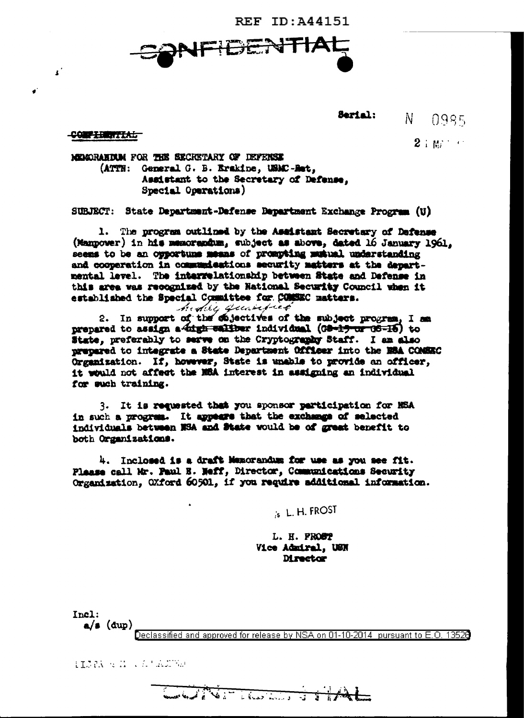**REF ID: A44151** 



#### Serial:  $\mathbf{N}$  $0985$

 $2 \pm \omega$  and  $\sim$ 

### **CONFIDENTIAL**

 $\mathbf{r}^{\prime}$ 

MEMORANDUM FOR THE SECRETARY OF DEFENSE (ATTN: General G. B. Erakine, USMC-Het, Assistant to the Secretary of Defense. Special Operations)

SUBJECT: State Department-Defense Department Exchange Program (U)

1. The program cutlined by the Assistant Secretary of Dafanse (Mannover) in his memorandum, subject as above, dated 16 January 1961. seems to be an opportune means of prompting musical understanding and cooperation in communications security matters at the departmental level. The intervelationship between State and Defense in this area was recognized by the National Security Council when it established the Special Committee for COMSEC matters.

hidrey quantité

2. In support of the chjectives of the subject progress, I am prepared to assign a digh waither individual (GB-19 or GS-16) to State, preferably to serve on the Cryptography Staff. I am also prepared to integrate a State Department Officer into the ESA COMSEC Organization. If, however, State is unable to provide an officer, it would not affect the NEA interest in assigning an individual for such training.

3. It is requested that you sponsor participation for NSA in such a program. It appears that the exchange of selected individuals between NSA and State would be of great benefit to both Organizations.

4. Inclosed is a draft Memorandum for use as you see fit. Plassa call Mr. Paul E. Neff. Director. Communications Security Organization, OXford 60501, if you require additional information.

is L. H. FROST

L. H. PROST Vice Admiral, USN **Director** 

Incl:  $a/s$  (dup)

Declassified and approved for release by NSA on 01-10-2014 pursuant to E.O. 13528

HISPA STATE LA LADE YE

Control of the Control of the State of the State of the State of the State of the State of the State of the State of the State of the State of the State of the State of the State of the State of the State of the State of t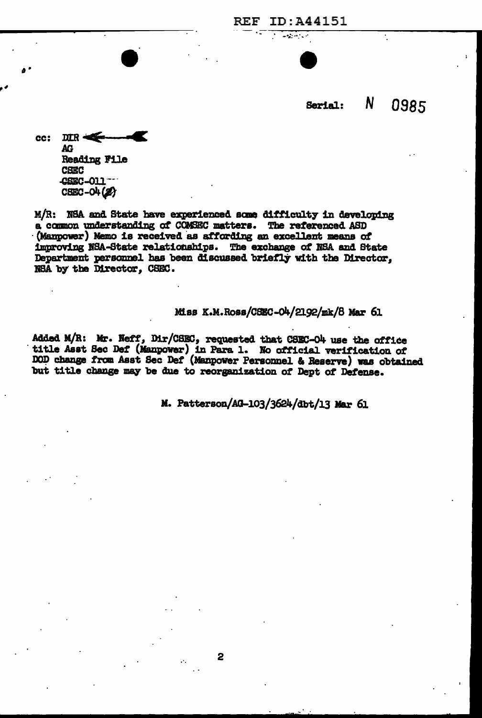N 0985 Serial:

 $DIR \leftarrow$ cc: AG. **Reading File CBEC** CSEC-011  $CSEC - O4 (2)$ 

M/R: NSA and State have experienced some difficulty in developing a common understanding of COMSEC matters. The referenced ASD (Manpower) Memo is received as affording an excellent means of improving NSA-State relationships. The exchange of NSA and State Department personnel has been discussed briefly with the Director. NSA by the Director, CSEC.

Miss K.M.Ross/CSEC-04/2192/mk/8 Mar 61

**REF ID: A44151** <u>a shekara ta 1989 a shekara ta 1989 a shekara ta 1989 a shekara ta 1989 a shekara ta 1989 a shekara ta 1989 a</u>

Added M/R: Mr. Neff, Dir/CSEC, requested that CSEC-O4 use the office title Asst Sec Def (Manpower) in Para 1. No official verification of DOD change from Asst Sec Def (Manpower Personnel & Reserve) was obtained but title change may be due to reorganization of Dept of Defense.

2

M. Patterson/AG-103/3624/dbt/13 Mar 61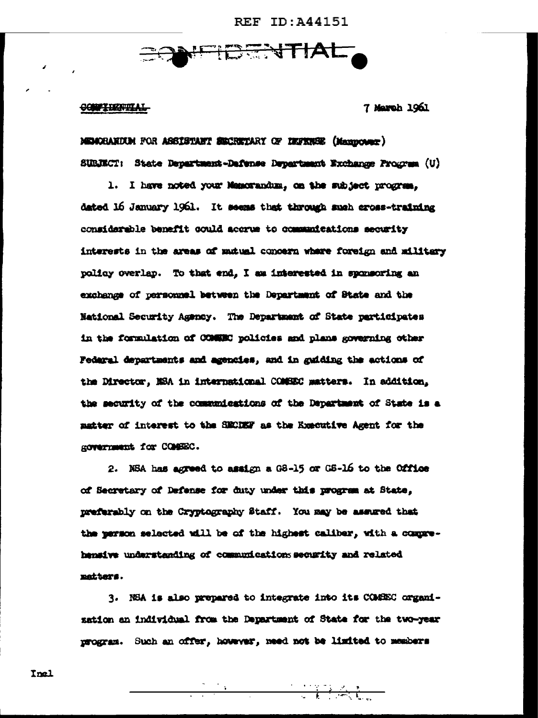**REF ID: A44151** 



<del>CONFIDENTIAL</del>

7 March 1961

MEMORANDUM FOR ASSISTANT SECRETARY OF IEFERSE (Massocrer) SUBJECT: State Department-Dafense Department Exchange Program (U)

1. I have noted your Manorandum, on the subject program. dated 16 January 1961. It seems that through such cross-training considerable benefit could accrue to communications security interests in the areas of mutual concern where foreign and military policy overlap. To that end, I am interested in sponsoring an exchange of personnel between the Department of State and the National Security Agency. The Department of State participates in the formulation of COMMEC policies and plans governing other Fedaral departments and agencies, and in guiding the actions of the Director. NSA in international COMSEC matters. In addition. the security of the communications of the Department of State is a matter of interest to the SECREF as the Executive Agent for the ROVETIMENt for COMBEC.

2. NSA has agreed to assign a G8-15 or G8-16 to the Office of Secretary of Defense for duty under this program at State. preferably on the Cryptography Staff. You may be assured that the person selected will be of the highest caliber, with a comprehensive understanding of communications security and related matters.

3. NEA is also prepared to integrate into its COMEEC organization an individual from the Department of State for the two-year program. Such an offer, however, need not be limited to members

Inel